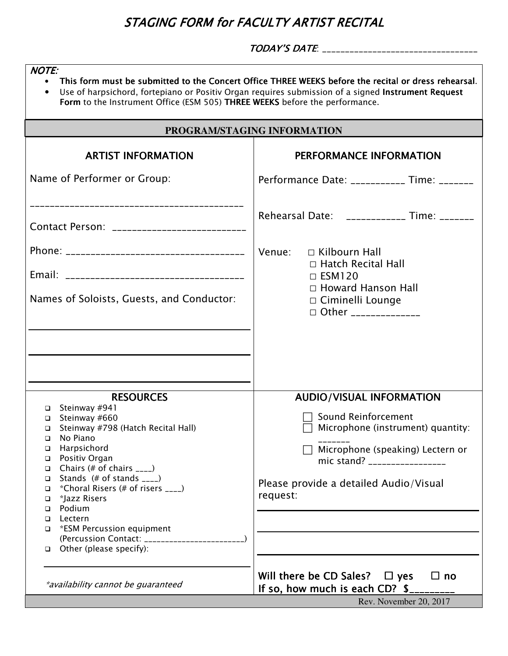## STAGING FORM for FACULTY ARTIST RECITAL

TODAY'S DATE: \_\_\_\_\_\_\_\_\_\_\_\_\_\_\_\_\_\_\_\_\_\_\_\_\_\_\_\_\_\_\_\_\_\_

| <b>NOTE:</b><br>This form must be submitted to the Concert Office THREE WEEKS before the recital or dress rehearsal.<br>$\bullet$<br>Use of harpsichord, fortepiano or Positiv Organ requires submission of a signed Instrument Request<br>$\bullet$<br>Form to the Instrument Office (ESM 505) THREE WEEKS before the performance. |                                                                                                                                      |  |  |
|-------------------------------------------------------------------------------------------------------------------------------------------------------------------------------------------------------------------------------------------------------------------------------------------------------------------------------------|--------------------------------------------------------------------------------------------------------------------------------------|--|--|
| PROGRAM/STAGING INFORMATION                                                                                                                                                                                                                                                                                                         |                                                                                                                                      |  |  |
| <b>ARTIST INFORMATION</b>                                                                                                                                                                                                                                                                                                           | PERFORMANCE INFORMATION                                                                                                              |  |  |
| Name of Performer or Group:                                                                                                                                                                                                                                                                                                         | Performance Date: ___________ Time: _______                                                                                          |  |  |
| ---------------------------------<br>Contact Person: ___________________________                                                                                                                                                                                                                                                    | Rehearsal Date: ____________ Time: _______                                                                                           |  |  |
|                                                                                                                                                                                                                                                                                                                                     | Venue:<br>$\Box$ Kilbourn Hall<br>□ Hatch Recital Hall                                                                               |  |  |
| Names of Soloists, Guests, and Conductor:                                                                                                                                                                                                                                                                                           | $\Box$ ESM120<br>$\Box$ Howard Hanson Hall<br>□ Ciminelli Lounge<br>□ Other _____________                                            |  |  |
|                                                                                                                                                                                                                                                                                                                                     |                                                                                                                                      |  |  |
| <b>RESOURCES</b>                                                                                                                                                                                                                                                                                                                    | <b>AUDIO/VISUAL INFORMATION</b>                                                                                                      |  |  |
| $\Box$ Steinway #941<br>$\Box$ Steinway #660<br>Steinway #798 (Hatch Recital Hall)<br>$\Box$<br>No Piano<br>□                                                                                                                                                                                                                       | Sound Reinforcement<br>Microphone (instrument) quantity:                                                                             |  |  |
| Harpsichord<br>$\Box$<br>Positiv Organ<br>$\Box$<br>$\Box$ Chairs (# of chairs ____)                                                                                                                                                                                                                                                | Microphone (speaking) Lectern or<br>mic stand? __________________                                                                    |  |  |
| $\Box$ Stands (# of stands ____)<br>$*$ Choral Risers (# of risers $\sqrt{2}$<br>$\Box$<br>*Jazz Risers<br>$\Box$<br>Podium<br>$\Box$                                                                                                                                                                                               | Please provide a detailed Audio/Visual<br>request:                                                                                   |  |  |
| Lectern<br>$\Box$<br>□ *ESM Percussion equipment                                                                                                                                                                                                                                                                                    |                                                                                                                                      |  |  |
| $\Box$ Other (please specify):                                                                                                                                                                                                                                                                                                      |                                                                                                                                      |  |  |
| *availability cannot be guaranteed                                                                                                                                                                                                                                                                                                  | Will there be CD Sales? $\Box$ yes<br>$\Box$ no<br>If so, how much is each CD? $\frac{1}{2}$ $\frac{1}{2}$<br>Rev. November 20, 2017 |  |  |